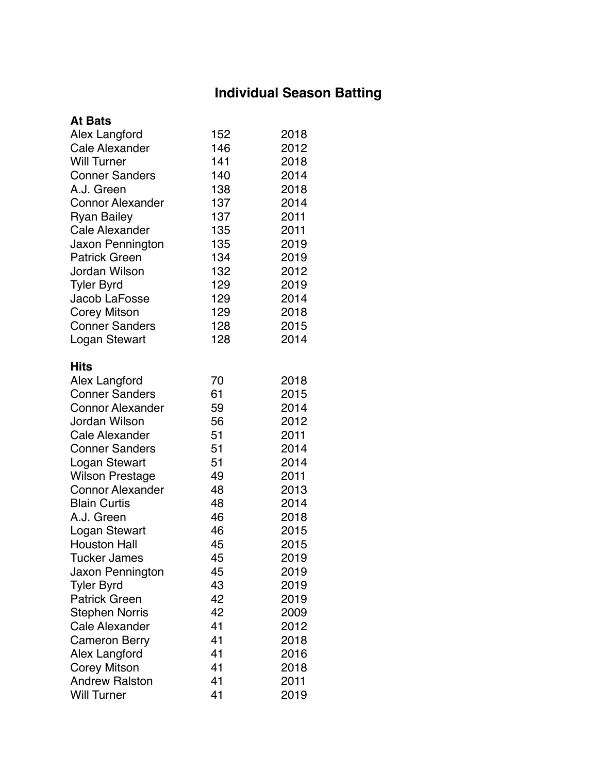### **Individual Season Batting**

| <b>At Bats</b>          |     |      |
|-------------------------|-----|------|
| Alex Langford           | 152 | 2018 |
| <b>Cale Alexander</b>   | 146 | 2012 |
| <b>Will Turner</b>      | 141 | 2018 |
| <b>Conner Sanders</b>   | 140 | 2014 |
| A.J. Green              | 138 | 2018 |
| <b>Connor Alexander</b> | 137 | 2014 |
| <b>Ryan Bailey</b>      | 137 | 2011 |
| <b>Cale Alexander</b>   | 135 | 2011 |
| Jaxon Pennington        | 135 | 2019 |
| <b>Patrick Green</b>    | 134 | 2019 |
| Jordan Wilson           | 132 | 2012 |
| <b>Tyler Byrd</b>       | 129 | 2019 |
| Jacob LaFosse           | 129 | 2014 |
| <b>Corey Mitson</b>     | 129 | 2018 |
| <b>Conner Sanders</b>   | 128 | 2015 |
| Logan Stewart           | 128 | 2014 |
| <b>Hits</b>             |     |      |
| Alex Langford           | 70  | 2018 |
| <b>Conner Sanders</b>   | 61  | 2015 |
| <b>Connor Alexander</b> | 59  | 2014 |
| Jordan Wilson           | 56  | 2012 |
| <b>Cale Alexander</b>   | 51  | 2011 |
| <b>Conner Sanders</b>   | 51  | 2014 |
| Logan Stewart           | 51  | 2014 |
| <b>Wilson Prestage</b>  | 49  | 2011 |
| <b>Connor Alexander</b> | 48  | 2013 |
| <b>Blain Curtis</b>     | 48  | 2014 |
| A.J. Green              | 46  | 2018 |
| Logan Stewart           | 46  | 2015 |
| <b>Houston Hall</b>     | 45  | 2015 |
| Tucker James            | 45  | 2019 |
| Jaxon Pennington        | 45  | 2019 |
| <b>Tyler Byrd</b>       | 43  | 2019 |
| <b>Patrick Green</b>    | 42  | 2019 |
| <b>Stephen Norris</b>   | 42  | 2009 |
| Cale Alexander          | 41  | 2012 |
| <b>Cameron Berry</b>    | 41  | 2018 |
| <b>Alex Langford</b>    | 41  | 2016 |
| Corey Mitson            | 41  | 2018 |
| <b>Andrew Ralston</b>   | 41  | 2011 |
| <b>Will Turner</b>      | 41  | 2019 |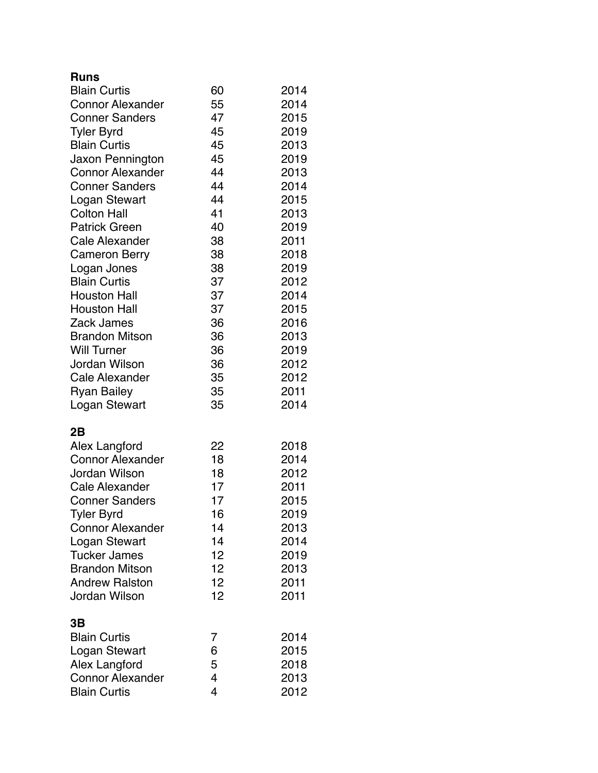#### **Runs**

| <b>Blain Curtis</b>     | 60 | 2014 |
|-------------------------|----|------|
| <b>Connor Alexander</b> | 55 | 2014 |
| <b>Conner Sanders</b>   | 47 | 2015 |
| <b>Tyler Byrd</b>       | 45 | 2019 |
| <b>Blain Curtis</b>     | 45 | 2013 |
| Jaxon Pennington        | 45 | 2019 |
| <b>Connor Alexander</b> | 44 | 2013 |
| <b>Conner Sanders</b>   | 44 | 2014 |
| Logan Stewart           | 44 | 2015 |
| <b>Colton Hall</b>      | 41 | 2013 |
| <b>Patrick Green</b>    | 40 | 2019 |
| Cale Alexander          | 38 | 2011 |
| <b>Cameron Berry</b>    | 38 | 2018 |
| Logan Jones             | 38 | 2019 |
| <b>Blain Curtis</b>     | 37 | 2012 |
| <b>Houston Hall</b>     | 37 | 2014 |
| <b>Houston Hall</b>     | 37 | 2015 |
| <b>Zack James</b>       | 36 | 2016 |
| <b>Brandon Mitson</b>   | 36 | 2013 |
| <b>Will Turner</b>      | 36 | 2019 |
| Jordan Wilson           | 36 | 2012 |
| <b>Cale Alexander</b>   | 35 | 2012 |
| <b>Ryan Bailey</b>      | 35 | 2011 |
| Logan Stewart           | 35 | 2014 |
| 2B                      |    |      |
| Alex Langford           | 22 | 2018 |
| <b>Connor Alexander</b> | 18 | 2014 |
| <b>Jordan Wilson</b>    | 18 | 2012 |
| Cale Alexander          | 17 | 2011 |
| <b>Conner Sanders</b>   | 17 | 2015 |
| <b>Tyler Byrd</b>       | 16 | 2019 |
| <b>Connor Alexander</b> | 14 | 2013 |
| Logan Stewart           | 14 | 2014 |
| <b>Tucker James</b>     | 12 | 2019 |
| <b>Brandon Mitson</b>   | 12 | 2013 |
| <b>Andrew Ralston</b>   | 12 | 2011 |
| Jordan Wilson           | 12 | 2011 |
| 3Β                      |    |      |
| <b>Blain Curtis</b>     | 7  | 2014 |
| Logan Stewart           | 6  | 2015 |
| Alex Langford           | 5  | 2018 |
| <b>Connor Alexander</b> | 4  | 2013 |
| <b>Blain Curtis</b>     | 4  | 2012 |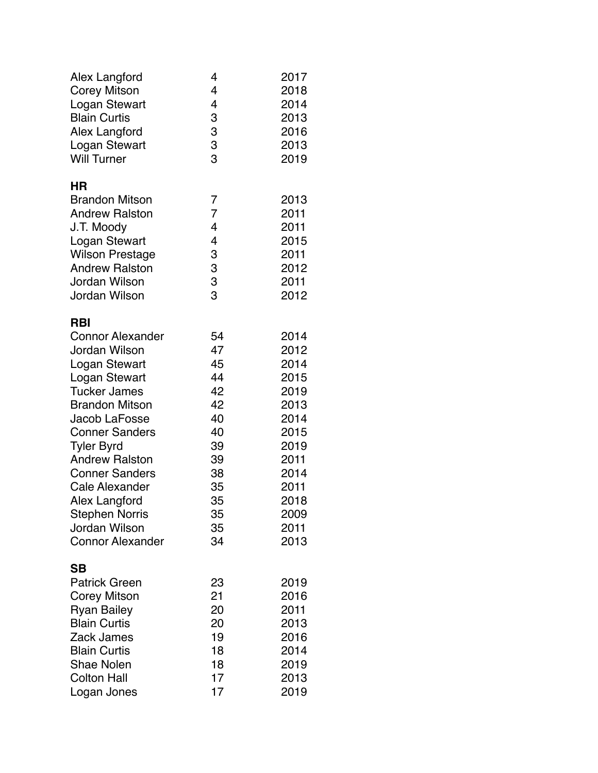| Alex Langford           | 4      | 2017 |
|-------------------------|--------|------|
| <b>Corey Mitson</b>     | 4      | 2018 |
| Logan Stewart           | 4      | 2014 |
| <b>Blain Curtis</b>     | 3      | 2013 |
| Alex Langford           | 3      | 2016 |
| Logan Stewart           | 3      | 2013 |
| <b>Will Turner</b>      | 3      | 2019 |
| ΗR                      |        |      |
| <b>Brandon Mitson</b>   | 7      | 2013 |
| <b>Andrew Ralston</b>   | 7      | 2011 |
| J.T. Moody              | 4      | 2011 |
| Logan Stewart           | 4      | 2015 |
| <b>Wilson Prestage</b>  | 3      | 2011 |
| <b>Andrew Ralston</b>   |        | 2012 |
| Jordan Wilson           | 3<br>3 | 2011 |
| Jordan Wilson           | 3      | 2012 |
| <b>RBI</b>              |        |      |
| <b>Connor Alexander</b> | 54     | 2014 |
| Jordan Wilson           | 47     | 2012 |
| Logan Stewart           | 45     | 2014 |
| Logan Stewart           | 44     | 2015 |
| <b>Tucker James</b>     | 42     | 2019 |
| <b>Brandon Mitson</b>   | 42     | 2013 |
| Jacob LaFosse           | 40     | 2014 |
| <b>Conner Sanders</b>   | 40     | 2015 |
| <b>Tyler Byrd</b>       | 39     | 2019 |
| <b>Andrew Ralston</b>   | 39     | 2011 |
| <b>Conner Sanders</b>   | 38     | 2014 |
| <b>Cale Alexander</b>   | 35     | 2011 |
| Alex Langford           | 35     | 2018 |
| <b>Stephen Norris</b>   | 35     | 2009 |
| Jordan Wilson           | 35     | 2011 |
| <b>Connor Alexander</b> | 34     | 2013 |
| SB                      |        |      |
| <b>Patrick Green</b>    | 23     | 2019 |
| Corey Mitson            | 21     | 2016 |
| <b>Ryan Bailey</b>      | 20     | 2011 |
| <b>Blain Curtis</b>     | 20     | 2013 |
| Zack James              | 19     | 2016 |
| <b>Blain Curtis</b>     | 18     | 2014 |
| <b>Shae Nolen</b>       | 18     | 2019 |
| <b>Colton Hall</b>      | 17     | 2013 |
| Logan Jones             | 17     | 2019 |
|                         |        |      |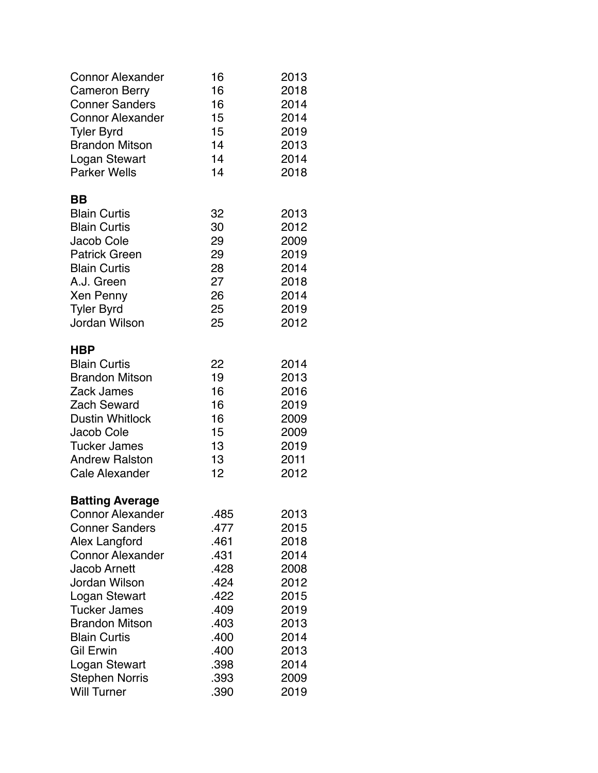| <b>Connor Alexander</b><br><b>Cameron Berry</b><br><b>Conner Sanders</b><br><b>Connor Alexander</b><br><b>Tyler Byrd</b><br><b>Brandon Mitson</b>                                                                                                                                                                                          | 16<br>16<br>16<br>15<br>15<br>14                                                                             | 2013<br>2018<br>2014<br>2014<br>2019<br>2013                                                                 |
|--------------------------------------------------------------------------------------------------------------------------------------------------------------------------------------------------------------------------------------------------------------------------------------------------------------------------------------------|--------------------------------------------------------------------------------------------------------------|--------------------------------------------------------------------------------------------------------------|
| Logan Stewart<br><b>Parker Wells</b>                                                                                                                                                                                                                                                                                                       | 14<br>14                                                                                                     | 2014<br>2018                                                                                                 |
| BB<br><b>Blain Curtis</b><br><b>Blain Curtis</b><br>Jacob Cole<br><b>Patrick Green</b><br><b>Blain Curtis</b><br>A.J. Green<br>Xen Penny<br><b>Tyler Byrd</b><br><b>Jordan Wilson</b>                                                                                                                                                      | 32<br>30<br>29<br>29<br>28<br>27<br>26<br>25<br>25                                                           | 2013<br>2012<br>2009<br>2019<br>2014<br>2018<br>2014<br>2019<br>2012                                         |
| HBP<br><b>Blain Curtis</b><br><b>Brandon Mitson</b><br>Zack James<br><b>Zach Seward</b><br><b>Dustin Whitlock</b><br>Jacob Cole<br><b>Tucker James</b><br><b>Andrew Ralston</b><br>Cale Alexander                                                                                                                                          | 22<br>19<br>16<br>16<br>16<br>15<br>13<br>13<br>12                                                           | 2014<br>2013<br>2016<br>2019<br>2009<br>2009<br>2019<br>2011<br>2012                                         |
| <b>Batting Average</b><br><b>Connor Alexander</b><br><b>Conner Sanders</b><br>Alex Langford<br><b>Connor Alexander</b><br><b>Jacob Arnett</b><br>Jordan Wilson<br>Logan Stewart<br><b>Tucker James</b><br><b>Brandon Mitson</b><br><b>Blain Curtis</b><br><b>Gil Erwin</b><br>Logan Stewart<br><b>Stephen Norris</b><br><b>Will Turner</b> | .485<br>.477<br>.461<br>.431<br>.428<br>.424<br>.422<br>.409<br>.403<br>.400<br>.400<br>.398<br>.393<br>.390 | 2013<br>2015<br>2018<br>2014<br>2008<br>2012<br>2015<br>2019<br>2013<br>2014<br>2013<br>2014<br>2009<br>2019 |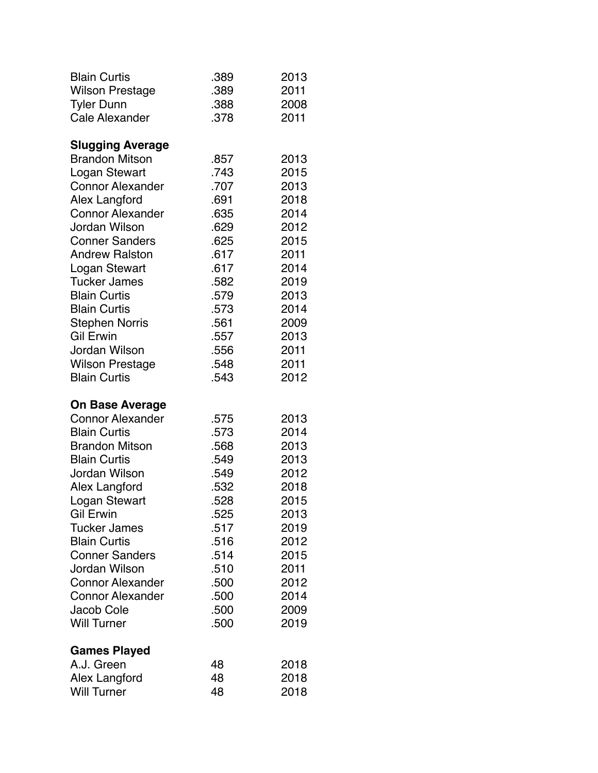| <b>Blain Curtis</b>     | .389 | 2013 |
|-------------------------|------|------|
| <b>Wilson Prestage</b>  | .389 | 2011 |
| <b>Tyler Dunn</b>       | .388 | 2008 |
| <b>Cale Alexander</b>   | .378 | 2011 |
| <b>Slugging Average</b> |      |      |
| <b>Brandon Mitson</b>   | .857 | 2013 |
| Logan Stewart           | .743 | 2015 |
| <b>Connor Alexander</b> | .707 | 2013 |
| Alex Langford           | .691 | 2018 |
| <b>Connor Alexander</b> | .635 | 2014 |
| Jordan Wilson           | .629 | 2012 |
| <b>Conner Sanders</b>   | .625 | 2015 |
| <b>Andrew Ralston</b>   | .617 | 2011 |
| Logan Stewart           | .617 | 2014 |
| <b>Tucker James</b>     | .582 | 2019 |
| <b>Blain Curtis</b>     | .579 | 2013 |
| <b>Blain Curtis</b>     | .573 | 2014 |
| <b>Stephen Norris</b>   | .561 | 2009 |
| <b>Gil Erwin</b>        | .557 | 2013 |
| Jordan Wilson           | .556 | 2011 |
| <b>Wilson Prestage</b>  | .548 | 2011 |
| <b>Blain Curtis</b>     | .543 | 2012 |
| <b>On Base Average</b>  |      |      |
| <b>Connor Alexander</b> | .575 | 2013 |
| <b>Blain Curtis</b>     | .573 | 2014 |
| <b>Brandon Mitson</b>   | .568 | 2013 |
| <b>Blain Curtis</b>     | .549 | 2013 |
| Jordan Wilson           | .549 | 2012 |
| Alex Langford           | .532 | 2018 |
| Logan Stewart           | .528 | 2015 |
| <b>Gil Erwin</b>        | .525 | 2013 |
| <b>Tucker James</b>     | .517 | 2019 |
| <b>Blain Curtis</b>     | .516 | 2012 |
| <b>Conner Sanders</b>   | .514 | 2015 |
| <b>Jordan Wilson</b>    | .510 | 2011 |
| <b>Connor Alexander</b> | .500 | 2012 |
| <b>Connor Alexander</b> | .500 | 2014 |
| Jacob Cole              | .500 | 2009 |
| <b>Will Turner</b>      | .500 | 2019 |
| <b>Games Played</b>     |      |      |
| A.J. Green              | 48   | 2018 |
| Alex Langford           | 48   | 2018 |
| <b>Will Turner</b>      | 48   | 2018 |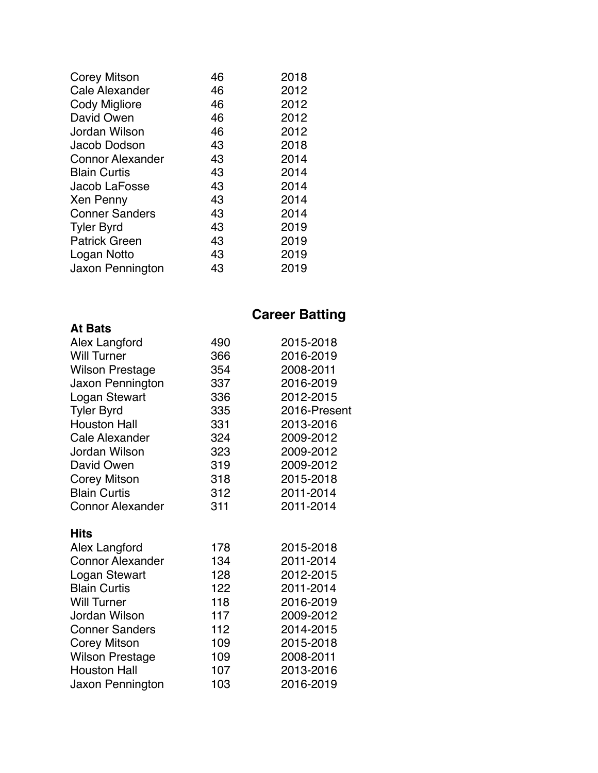| 46 | 2018 |
|----|------|
| 46 | 2012 |
| 46 | 2012 |
| 46 | 2012 |
| 46 | 2012 |
| 43 | 2018 |
| 43 | 2014 |
| 43 | 2014 |
| 43 | 2014 |
| 43 | 2014 |
| 43 | 2014 |
| 43 | 2019 |
| 43 | 2019 |
| 43 | 2019 |
| 43 | 2019 |
|    |      |

### **Career Batting**

| Alex Langford           | 490 | 2015-2018    |
|-------------------------|-----|--------------|
| <b>Will Turner</b>      | 366 | 2016-2019    |
| <b>Wilson Prestage</b>  | 354 | 2008-2011    |
| Jaxon Pennington        | 337 | 2016-2019    |
| Logan Stewart           | 336 | 2012-2015    |
| <b>Tyler Byrd</b>       | 335 | 2016-Present |
| <b>Houston Hall</b>     | 331 | 2013-2016    |
| <b>Cale Alexander</b>   | 324 | 2009-2012    |
| Jordan Wilson           | 323 | 2009-2012    |
| David Owen              | 319 | 2009-2012    |
| <b>Corey Mitson</b>     | 318 | 2015-2018    |
| <b>Blain Curtis</b>     | 312 | 2011-2014    |
| <b>Connor Alexander</b> | 311 | 2011-2014    |
| <b>Hits</b>             |     |              |
| Alex Langford           | 178 | 2015-2018    |
| <b>Connor Alexander</b> | 134 | 2011-2014    |
| Logan Stewart           | 128 | 2012-2015    |
| <b>Blain Curtis</b>     | 122 | 2011-2014    |
| <b>Will Turner</b>      | 118 | 2016-2019    |
| Jordan Wilson           | 117 | 2009-2012    |
| <b>Conner Sanders</b>   | 112 | 2014-2015    |
| <b>Corey Mitson</b>     | 109 | 2015-2018    |
| <b>Wilson Prestage</b>  | 109 | 2008-2011    |
| <b>Houston Hall</b>     | 107 | 2013-2016    |
| Jaxon Pennington        | 103 | 2016-2019    |
|                         |     |              |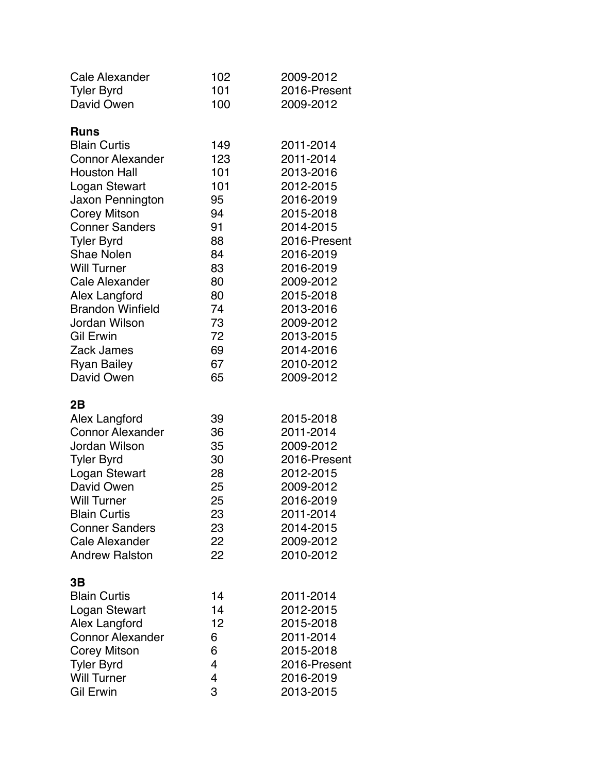| Cale Alexander                  | 102                      | 2009-2012                 |
|---------------------------------|--------------------------|---------------------------|
| <b>Tyler Byrd</b><br>David Owen | 101<br>100               | 2016-Present<br>2009-2012 |
|                                 |                          |                           |
| <b>Runs</b>                     |                          |                           |
| <b>Blain Curtis</b>             | 149                      | 2011-2014                 |
| <b>Connor Alexander</b>         | 123                      | 2011-2014                 |
| <b>Houston Hall</b>             | 101                      | 2013-2016                 |
| Logan Stewart                   | 101                      | 2012-2015                 |
| Jaxon Pennington                | 95                       | 2016-2019                 |
| <b>Corey Mitson</b>             | 94                       | 2015-2018                 |
| <b>Conner Sanders</b>           | 91                       | 2014-2015                 |
| <b>Tyler Byrd</b>               | 88                       | 2016-Present              |
| Shae Nolen                      | 84                       | 2016-2019                 |
| <b>Will Turner</b>              | 83                       | 2016-2019                 |
| Cale Alexander                  | 80                       | 2009-2012                 |
| Alex Langford                   | 80                       | 2015-2018                 |
| <b>Brandon Winfield</b>         | 74                       | 2013-2016                 |
| Jordan Wilson                   | 73                       | 2009-2012                 |
| <b>Gil Erwin</b>                | 72                       | 2013-2015                 |
| Zack James                      | 69                       | 2014-2016                 |
| <b>Ryan Bailey</b>              | 67                       | 2010-2012                 |
| David Owen                      | 65                       | 2009-2012                 |
| 2B                              |                          |                           |
| Alex Langford                   | 39                       | 2015-2018                 |
| <b>Connor Alexander</b>         | 36                       | 2011-2014                 |
| Jordan Wilson                   | 35                       | 2009-2012                 |
| <b>Tyler Byrd</b>               | 30                       | 2016-Present              |
| Logan Stewart                   | 28                       | 2012-2015                 |
| David Owen                      | 25                       | 2009-2012                 |
| <b>Will Turner</b>              | 25                       | 2016-2019                 |
| <b>Blain Curtis</b>             | 23                       | 2011-2014                 |
| <b>Conner Sanders</b>           | 23                       | 2014-2015                 |
| Cale Alexander                  | 22                       | 2009-2012                 |
| <b>Andrew Ralston</b>           | 22                       | 2010-2012                 |
| 3Β                              |                          |                           |
| <b>Blain Curtis</b>             | 14                       | 2011-2014                 |
| Logan Stewart                   | 14                       | 2012-2015                 |
| Alex Langford                   | 12                       | 2015-2018                 |
| <b>Connor Alexander</b>         | 6                        | 2011-2014                 |
| <b>Corey Mitson</b>             | 6                        | 2015-2018                 |
| <b>Tyler Byrd</b>               | 4                        | 2016-Present              |
| <b>Will Turner</b>              | $\overline{\mathcal{A}}$ | 2016-2019                 |
| <b>Gil Erwin</b>                | 3                        | 2013-2015                 |
|                                 |                          |                           |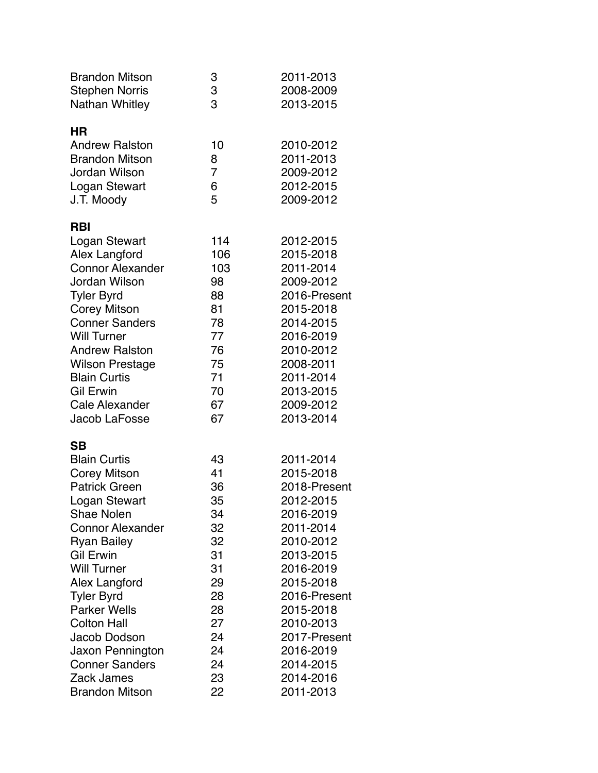| <b>Brandon Mitson</b>   | 3              | 2011-2013    |
|-------------------------|----------------|--------------|
| <b>Stephen Norris</b>   | 3              | 2008-2009    |
| Nathan Whitley          | 3              | 2013-2015    |
| <b>HR</b>               |                |              |
| <b>Andrew Ralston</b>   | 10             | 2010-2012    |
| <b>Brandon Mitson</b>   | 8              | 2011-2013    |
| Jordan Wilson           | $\overline{7}$ | 2009-2012    |
| Logan Stewart           | 6              | 2012-2015    |
| J.T. Moody              | 5              | 2009-2012    |
|                         |                |              |
| <b>RBI</b>              |                |              |
| Logan Stewart           | 114            | 2012-2015    |
| Alex Langford           | 106            | 2015-2018    |
| <b>Connor Alexander</b> | 103            | 2011-2014    |
| Jordan Wilson           | 98             | 2009-2012    |
| <b>Tyler Byrd</b>       | 88             | 2016-Present |
| <b>Corey Mitson</b>     | 81             | 2015-2018    |
| <b>Conner Sanders</b>   | 78             | 2014-2015    |
| <b>Will Turner</b>      | 77             | 2016-2019    |
| <b>Andrew Ralston</b>   | 76             | 2010-2012    |
| <b>Wilson Prestage</b>  | 75             | 2008-2011    |
| <b>Blain Curtis</b>     | 71             | 2011-2014    |
| <b>Gil Erwin</b>        | 70             | 2013-2015    |
| <b>Cale Alexander</b>   | 67             | 2009-2012    |
| Jacob LaFosse           | 67             | 2013-2014    |
| <b>SB</b>               |                |              |
| <b>Blain Curtis</b>     | 43             | 2011-2014    |
| <b>Corey Mitson</b>     | 41             | 2015-2018    |
| <b>Patrick Green</b>    | 36             | 2018-Present |
| Logan Stewart           | 35             | 2012-2015    |
| <b>Shae Nolen</b>       | 34             | 2016-2019    |
| <b>Connor Alexander</b> | 32             | 2011-2014    |
| <b>Ryan Bailey</b>      | 32             | 2010-2012    |
| <b>Gil Erwin</b>        | 31             | 2013-2015    |
| <b>Will Turner</b>      | 31             | 2016-2019    |
| Alex Langford           | 29             | 2015-2018    |
| <b>Tyler Byrd</b>       | 28             | 2016-Present |
| <b>Parker Wells</b>     | 28             | 2015-2018    |
| <b>Colton Hall</b>      | 27             | 2010-2013    |
| Jacob Dodson            | 24             | 2017-Present |
| Jaxon Pennington        | 24             | 2016-2019    |
| <b>Conner Sanders</b>   | 24             | 2014-2015    |
| Zack James              | 23             | 2014-2016    |
| <b>Brandon Mitson</b>   | 22             | 2011-2013    |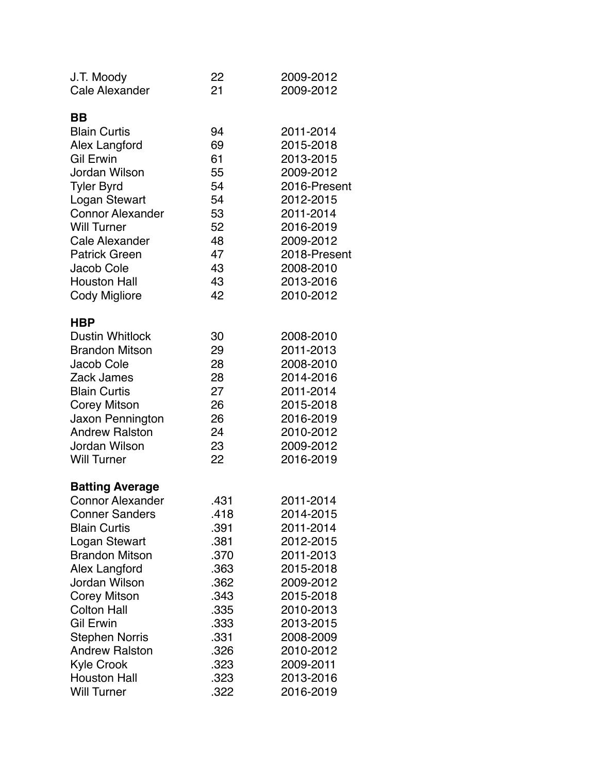| J.T. Moody                          | 22       | 2009-2012              |
|-------------------------------------|----------|------------------------|
| <b>Cale Alexander</b>               | 21       | 2009-2012              |
| BВ                                  |          |                        |
| <b>Blain Curtis</b>                 | 94       | 2011-2014              |
| Alex Langford                       | 69       | 2015-2018              |
| <b>Gil Erwin</b>                    | 61       | 2013-2015              |
| Jordan Wilson                       | 55       | 2009-2012              |
| <b>Tyler Byrd</b>                   | 54       | 2016-Present           |
| Logan Stewart                       | 54       | 2012-2015              |
| <b>Connor Alexander</b>             | 53       | 2011-2014              |
| <b>Will Turner</b>                  | 52       | 2016-2019              |
| <b>Cale Alexander</b>               | 48       | 2009-2012              |
| <b>Patrick Green</b>                | 47       | 2018-Present           |
| Jacob Cole                          | 43       | 2008-2010              |
| <b>Houston Hall</b>                 | 43       | 2013-2016              |
| Cody Migliore                       | 42       | 2010-2012              |
|                                     |          |                        |
| <b>HBP</b>                          |          |                        |
| <b>Dustin Whitlock</b>              | 30       | 2008-2010              |
| <b>Brandon Mitson</b>               | 29       | 2011-2013              |
| Jacob Cole                          | 28       | 2008-2010              |
| Zack James                          | 28       | 2014-2016              |
| <b>Blain Curtis</b>                 | 27       | 2011-2014              |
| <b>Corey Mitson</b>                 | 26       | 2015-2018              |
| Jaxon Pennington                    | 26       | 2016-2019              |
| <b>Andrew Ralston</b>               | 24       | 2010-2012              |
| Jordan Wilson<br><b>Will Turner</b> | 23<br>22 | 2009-2012<br>2016-2019 |
|                                     |          |                        |
| <b>Batting Average</b>              |          |                        |
| <b>Connor Alexander</b>             | .431     | 2011-2014              |
| <b>Conner Sanders</b>               | .418     | 2014-2015              |
| <b>Blain Curtis</b>                 | .391     | 2011-2014              |
| Logan Stewart                       | .381     | 2012-2015              |
| <b>Brandon Mitson</b>               | .370     | 2011-2013              |
| Alex Langford                       | .363     | 2015-2018              |
| Jordan Wilson                       | .362     | 2009-2012              |
| Corey Mitson                        | .343     | 2015-2018              |
| <b>Colton Hall</b>                  | .335     | 2010-2013              |
| <b>Gil Erwin</b>                    | .333     | 2013-2015              |
| <b>Stephen Norris</b>               | .331     | 2008-2009              |
| <b>Andrew Ralston</b>               | .326     | 2010-2012              |
| <b>Kyle Crook</b>                   | .323     | 2009-2011              |
| <b>Houston Hall</b>                 | .323     | 2013-2016              |
| <b>Will Turner</b>                  | .322     | 2016-2019              |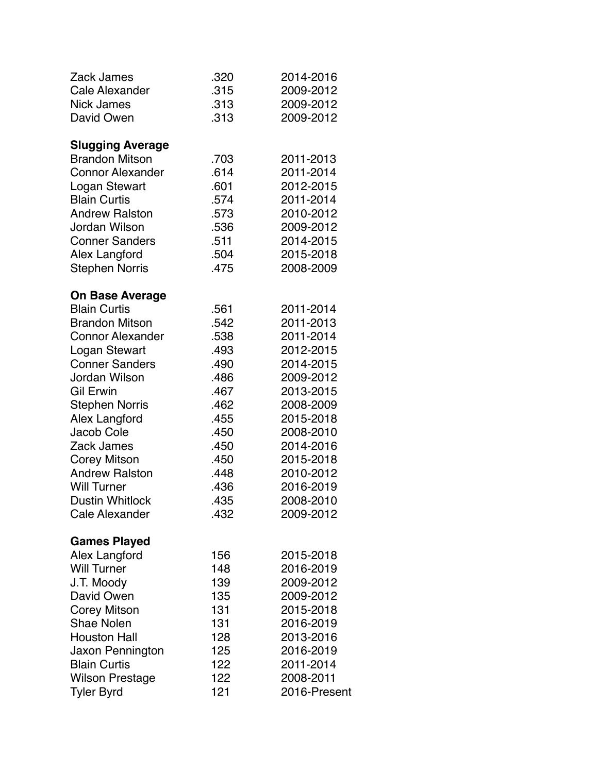| <b>Zack James</b>       | .320 | 2014-2016    |
|-------------------------|------|--------------|
| <b>Cale Alexander</b>   | .315 | 2009-2012    |
| <b>Nick James</b>       | .313 | 2009-2012    |
| David Owen              | .313 | 2009-2012    |
| <b>Slugging Average</b> |      |              |
| <b>Brandon Mitson</b>   | .703 | 2011-2013    |
| <b>Connor Alexander</b> | .614 | 2011-2014    |
| Logan Stewart           | .601 | 2012-2015    |
| <b>Blain Curtis</b>     | .574 | 2011-2014    |
| <b>Andrew Ralston</b>   | .573 | 2010-2012    |
| Jordan Wilson           | .536 | 2009-2012    |
| <b>Conner Sanders</b>   | .511 | 2014-2015    |
| Alex Langford           | .504 | 2015-2018    |
| <b>Stephen Norris</b>   | .475 | 2008-2009    |
| <b>On Base Average</b>  |      |              |
| <b>Blain Curtis</b>     | .561 | 2011-2014    |
| <b>Brandon Mitson</b>   | .542 | 2011-2013    |
| <b>Connor Alexander</b> | .538 | 2011-2014    |
| Logan Stewart           | .493 | 2012-2015    |
| <b>Conner Sanders</b>   | .490 | 2014-2015    |
| Jordan Wilson           | .486 | 2009-2012    |
| Gil Erwin               | .467 | 2013-2015    |
| <b>Stephen Norris</b>   | .462 | 2008-2009    |
| Alex Langford           | .455 | 2015-2018    |
| Jacob Cole              | .450 | 2008-2010    |
| Zack James              | .450 | 2014-2016    |
| <b>Corey Mitson</b>     | .450 | 2015-2018    |
| <b>Andrew Ralston</b>   | .448 | 2010-2012    |
| <b>Will Turner</b>      | .436 | 2016-2019    |
| <b>Dustin Whitlock</b>  | .435 | 2008-2010    |
| Cale Alexander          | .432 | 2009-2012    |
| <b>Games Played</b>     |      |              |
| Alex Langford           | 156  | 2015-2018    |
| <b>Will Turner</b>      | 148  | 2016-2019    |
| J.T. Moody              | 139  | 2009-2012    |
| David Owen              | 135  | 2009-2012    |
| <b>Corey Mitson</b>     | 131  | 2015-2018    |
| <b>Shae Nolen</b>       | 131  | 2016-2019    |
| <b>Houston Hall</b>     | 128  | 2013-2016    |
| Jaxon Pennington        | 125  | 2016-2019    |
| <b>Blain Curtis</b>     | 122  | 2011-2014    |
| <b>Wilson Prestage</b>  | 122  | 2008-2011    |
| <b>Tyler Byrd</b>       | 121  | 2016-Present |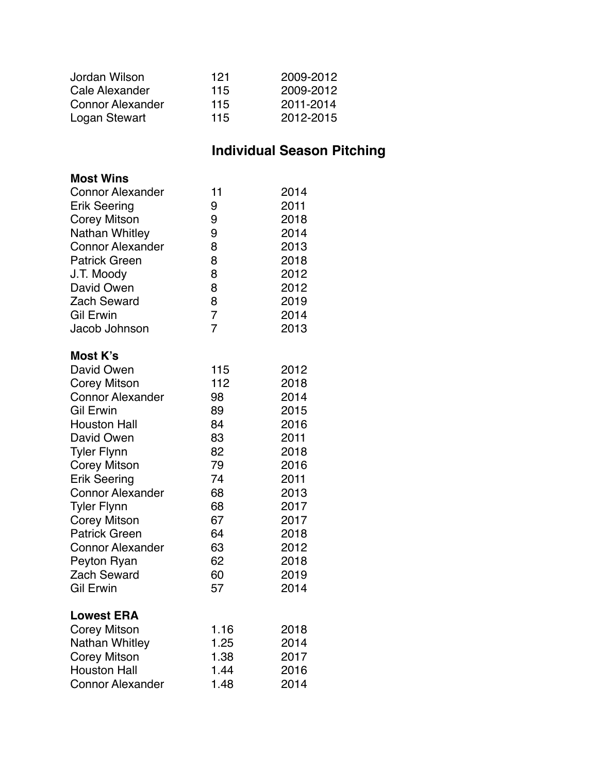| Jordan Wilson           | 121 | 2009-2012 |
|-------------------------|-----|-----------|
| Cale Alexander          | 115 | 2009-2012 |
| <b>Connor Alexander</b> | 115 | 2011-2014 |
| Logan Stewart           | 115 | 2012-2015 |

### **Individual Season Pitching**

| <b>Most Wins</b>        |                |      |
|-------------------------|----------------|------|
| <b>Connor Alexander</b> | 11             | 2014 |
| <b>Erik Seering</b>     | 9              | 2011 |
| <b>Corey Mitson</b>     | 9              | 2018 |
| Nathan Whitley          | 9              | 2014 |
| <b>Connor Alexander</b> | 8              | 2013 |
| <b>Patrick Green</b>    | 8              | 2018 |
| J.T. Moody              | 8              | 2012 |
| David Owen              | 8              | 2012 |
| <b>Zach Seward</b>      | 8              | 2019 |
| <b>Gil Erwin</b>        | $\overline{7}$ | 2014 |
| Jacob Johnson           | 7              | 2013 |
| Most K's                |                |      |
| David Owen              | 115            | 2012 |
| <b>Corey Mitson</b>     | 112            | 2018 |
| <b>Connor Alexander</b> | 98             | 2014 |
| <b>Gil Erwin</b>        | 89             | 2015 |
| <b>Houston Hall</b>     | 84             | 2016 |
| David Owen              | 83             | 2011 |
| <b>Tyler Flynn</b>      | 82             | 2018 |
| <b>Corey Mitson</b>     | 79             | 2016 |
| <b>Erik Seering</b>     | 74             | 2011 |
| <b>Connor Alexander</b> | 68             | 2013 |
| <b>Tyler Flynn</b>      | 68             | 2017 |
| <b>Corey Mitson</b>     | 67             | 2017 |
| <b>Patrick Green</b>    | 64             | 2018 |
| <b>Connor Alexander</b> | 63             | 2012 |
| Peyton Ryan             | 62             | 2018 |
| <b>Zach Seward</b>      | 60             | 2019 |
| <b>Gil Erwin</b>        | 57             | 2014 |
| <b>Lowest ERA</b>       |                |      |
| <b>Corey Mitson</b>     | 1.16           | 2018 |
| Nathan Whitley          | 1.25           | 2014 |
| <b>Corey Mitson</b>     | 1.38           | 2017 |
| <b>Houston Hall</b>     | 1.44           | 2016 |
| <b>Connor Alexander</b> | 1.48           | 2014 |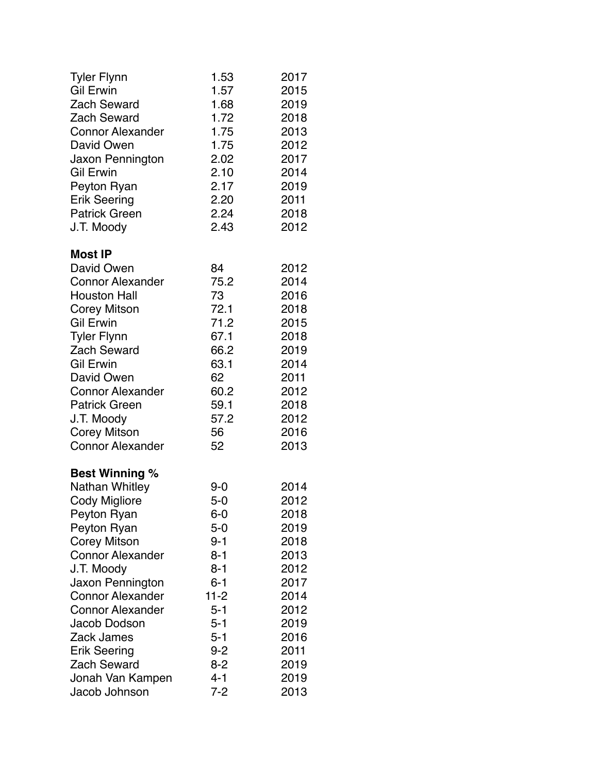| <b>Tyler Flynn</b>      | 1.53     | 2017 |
|-------------------------|----------|------|
| <b>Gil Erwin</b>        | 1.57     | 2015 |
| <b>Zach Seward</b>      | 1.68     | 2019 |
| <b>Zach Seward</b>      | 1.72     | 2018 |
| <b>Connor Alexander</b> | 1.75     | 2013 |
| David Owen              | 1.75     | 2012 |
| Jaxon Pennington        | 2.02     | 2017 |
| <b>Gil Erwin</b>        | 2.10     | 2014 |
| Peyton Ryan             | 2.17     | 2019 |
| <b>Erik Seering</b>     | 2.20     | 2011 |
| <b>Patrick Green</b>    | 2.24     | 2018 |
| J.T. Moody              | 2.43     | 2012 |
| <b>Most IP</b>          |          |      |
| David Owen              | 84       | 2012 |
| <b>Connor Alexander</b> | 75.2     | 2014 |
| <b>Houston Hall</b>     | 73       | 2016 |
| <b>Corey Mitson</b>     | 72.1     | 2018 |
| <b>Gil Erwin</b>        | 71.2     | 2015 |
| <b>Tyler Flynn</b>      | 67.1     | 2018 |
| <b>Zach Seward</b>      | 66.2     | 2019 |
| <b>Gil Erwin</b>        | 63.1     | 2014 |
| David Owen              | 62       | 2011 |
| <b>Connor Alexander</b> | 60.2     | 2012 |
| <b>Patrick Green</b>    | 59.1     | 2018 |
| J.T. Moody              | 57.2     | 2012 |
| <b>Corey Mitson</b>     | 56       | 2016 |
| <b>Connor Alexander</b> | 52       | 2013 |
| <b>Best Winning %</b>   |          |      |
| Nathan Whitley          | 9-0      | 2014 |
| <b>Cody Migliore</b>    | $5-0$    | 2012 |
| Peyton Ryan             | $6-0$    | 2018 |
| Peyton Ryan             | $5-0$    | 2019 |
| Corey Mitson            | 9-1      | 2018 |
| <b>Connor Alexander</b> | 8-1      | 2013 |
| J.T. Moody              | $8 - 1$  | 2012 |
| Jaxon Pennington        | $6 - 1$  | 2017 |
| <b>Connor Alexander</b> | $11 - 2$ | 2014 |
| <b>Connor Alexander</b> | $5 - 1$  | 2012 |
| Jacob Dodson            | $5-1$    | 2019 |
| Zack James              | $5 - 1$  | 2016 |
| <b>Erik Seering</b>     | $9 - 2$  | 2011 |
| <b>Zach Seward</b>      | $8 - 2$  | 2019 |
| Jonah Van Kampen        | $4 - 1$  | 2019 |
| Jacob Johnson           | $7 - 2$  | 2013 |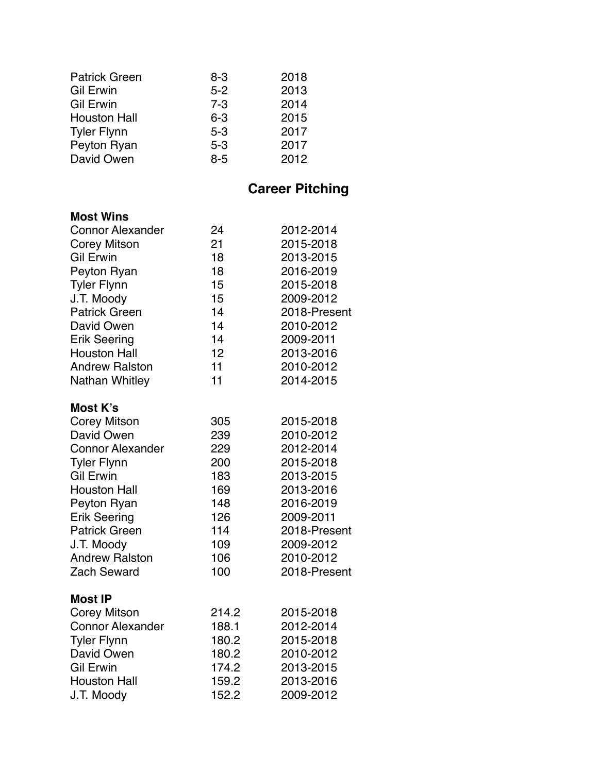| $8 - 3$ | 2018 |
|---------|------|
| $5 - 2$ | 2013 |
| $7 - 3$ | 2014 |
| $6 - 3$ | 2015 |
| $5 - 3$ | 2017 |
| $5 - 3$ | 2017 |
| $8 - 5$ | 2012 |
|         |      |

### **Career Pitching**

#### **Most Wins**

| כווואי וכשואו           |                   |              |
|-------------------------|-------------------|--------------|
| <b>Connor Alexander</b> | 24                | 2012-2014    |
| Corey Mitson            | 21                | 2015-2018    |
| <b>Gil Erwin</b>        | 18                | 2013-2015    |
| Peyton Ryan             | 18                | 2016-2019    |
| <b>Tyler Flynn</b>      | 15                | 2015-2018    |
| J.T. Moody              | 15                | 2009-2012    |
| <b>Patrick Green</b>    | 14                | 2018-Present |
| David Owen              | 14                | 2010-2012    |
| <b>Erik Seering</b>     | 14                | 2009-2011    |
| <b>Houston Hall</b>     | $12 \overline{ }$ | 2013-2016    |
| <b>Andrew Ralston</b>   | 11                | 2010-2012    |
| Nathan Whitley          | 11                | 2014-2015    |
| Most K's                |                   |              |
| Covov Mitaov            | חמ                | OO JE OO JO  |

| Corey Mitson            | 305   | 2015-2018    |
|-------------------------|-------|--------------|
| David Owen              | 239   | 2010-2012    |
| <b>Connor Alexander</b> | 229   | 2012-2014    |
| <b>Tyler Flynn</b>      | 200   | 2015-2018    |
| <b>Gil Erwin</b>        | 183   | 2013-2015    |
| <b>Houston Hall</b>     | 169   | 2013-2016    |
| Peyton Ryan             | 148   | 2016-2019    |
| <b>Erik Seering</b>     | 126   | 2009-2011    |
| <b>Patrick Green</b>    | 114   | 2018-Present |
| J.T. Moody              | 109   | 2009-2012    |
| <b>Andrew Ralston</b>   | 106   | 2010-2012    |
| <b>Zach Seward</b>      | 100   | 2018-Present |
| <b>Most IP</b>          |       |              |
| Corey Mitson            | 214.2 | 2015-2018    |
| <b>Connor Alexander</b> | 188.1 | 2012-2014    |
| <b>Tyler Flynn</b>      | 180.2 | 2015-2018    |
| David Owen              | 180.2 | 2010-2012    |
| <b>Gil Erwin</b>        | 174.2 | 2013-2015    |
| <b>Houston Hall</b>     | 159.2 | 2013-2016    |
| J.T. Moody              | 152.2 | 2009-2012    |
|                         |       |              |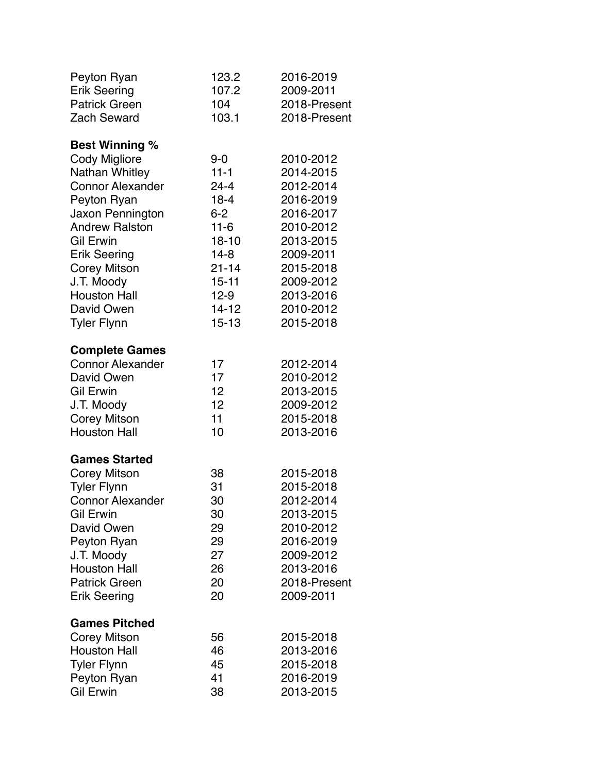| Peyton Ryan             | 123.2     | 2016-2019    |
|-------------------------|-----------|--------------|
| <b>Erik Seering</b>     | 107.2     | 2009-2011    |
| <b>Patrick Green</b>    | 104       | 2018-Present |
| <b>Zach Seward</b>      | 103.1     | 2018-Present |
| <b>Best Winning %</b>   |           |              |
| <b>Cody Migliore</b>    | $9 - 0$   | 2010-2012    |
| Nathan Whitley          | $11 - 1$  | 2014-2015    |
| <b>Connor Alexander</b> | $24 - 4$  | 2012-2014    |
| Peyton Ryan             | $18 - 4$  | 2016-2019    |
| Jaxon Pennington        | $6-2$     | 2016-2017    |
| <b>Andrew Ralston</b>   | $11 - 6$  | 2010-2012    |
| <b>Gil Erwin</b>        | $18 - 10$ | 2013-2015    |
| <b>Erik Seering</b>     | $14 - 8$  | 2009-2011    |
| <b>Corey Mitson</b>     | $21 - 14$ | 2015-2018    |
| J.T. Moody              | $15 - 11$ | 2009-2012    |
| <b>Houston Hall</b>     | $12-9$    | 2013-2016    |
| David Owen              | $14 - 12$ | 2010-2012    |
| <b>Tyler Flynn</b>      | $15 - 13$ | 2015-2018    |
| <b>Complete Games</b>   |           |              |
| <b>Connor Alexander</b> | 17        | 2012-2014    |
| David Owen              | 17        | 2010-2012    |
| <b>Gil Erwin</b>        | 12        | 2013-2015    |
| J.T. Moody              | 12        | 2009-2012    |
| <b>Corey Mitson</b>     | 11        | 2015-2018    |
| <b>Houston Hall</b>     | 10        | 2013-2016    |
| <b>Games Started</b>    |           |              |
| <b>Corey Mitson</b>     | 38        | 2015-2018    |
| <b>Tyler Flynn</b>      | 31        | 2015-2018    |
| <b>Connor Alexander</b> | 30        | 2012-2014    |
| <b>Gil Erwin</b>        | 30        | 2013-2015    |
| David Owen              | 29        | 2010-2012    |
| Peyton Ryan             | 29        | 2016-2019    |
| J.T. Moody              | 27        | 2009-2012    |
| <b>Houston Hall</b>     | 26        | 2013-2016    |
| <b>Patrick Green</b>    | 20        | 2018-Present |
| <b>Erik Seering</b>     | 20        | 2009-2011    |
| <b>Games Pitched</b>    |           |              |
| <b>Corey Mitson</b>     | 56        | 2015-2018    |
| <b>Houston Hall</b>     | 46        | 2013-2016    |
| <b>Tyler Flynn</b>      | 45        | 2015-2018    |
| Peyton Ryan             | 41        | 2016-2019    |
| <b>Gil Erwin</b>        | 38        | 2013-2015    |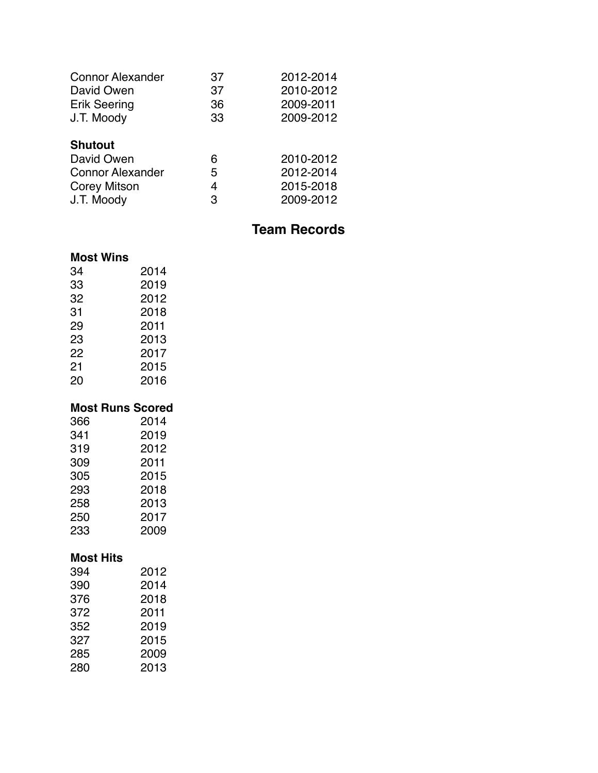| 37 | 2012-2014 |
|----|-----------|
| 37 | 2010-2012 |
| 36 | 2009-2011 |
| 33 | 2009-2012 |
|    |           |
| 6  | 2010-2012 |
| 5  | 2012-2014 |
| 4  | 2015-2018 |
| 3  | 2009-2012 |
|    |           |

### **Team Records**

#### **Most Wins**

| 34                      | 2014 |
|-------------------------|------|
| 33                      | 2019 |
| 32                      | 2012 |
| 31                      | 2018 |
| 29                      | 2011 |
| 23                      | 2013 |
| 22                      | 2017 |
| 21                      | 2015 |
| 20                      | 2016 |
|                         |      |
|                         |      |
| <b>Most Runs Scored</b> |      |
| 366                     | 2014 |
| 341                     | 2019 |
| 319                     | 2012 |
| 309                     | 2011 |
| 305                     | 2015 |
| 293                     | 2018 |
| 258                     | 2013 |
| 250                     | 2017 |

#### **Most Hits**

| 394 | 2012 |
|-----|------|
| 390 | 2014 |
| 376 | 2018 |
| 372 | 2011 |
| 352 | 2019 |
| 327 | 2015 |
| 285 | 2009 |
| 280 | 2013 |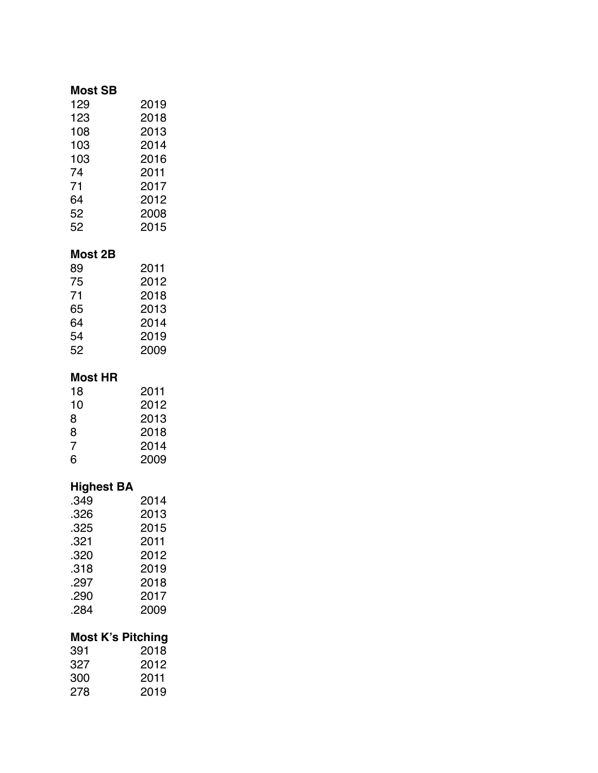#### **Most SB**

| 129 | 2019 |
|-----|------|
| 123 | 2018 |
| 108 | 2013 |
| 103 | 2014 |
| 103 | 2016 |
| 74  | 2011 |
| 71  | 2017 |
| 64  | 2012 |
| 52  | 2008 |
| 52  | 2015 |
|     |      |

### **Most 2B**

| 89 | 2011 |
|----|------|
| 75 | 2012 |
| 71 | 2018 |
| 65 | 2013 |
| 64 | 2014 |
| 54 | 2019 |
| 52 | 2009 |

#### **Most HR**

| 18 | 2011 |
|----|------|
| 10 | 2012 |
| 8  | 2013 |
| 8  | 2018 |
| 7  | 2014 |
| 6  | 2009 |

### **Highest BA**

| .349 | 2014 |
|------|------|
| .326 | 2013 |
| .325 | 2015 |
| .321 | 2011 |
| .320 | 2012 |
| .318 | 2019 |
| .297 | 2018 |
| .290 | 2017 |
| .284 | 2009 |
|      |      |

### **Most K's Pitching**

| 391 | 2018 |
|-----|------|
| 327 | 2012 |
| 300 | 2011 |
| 278 | 2019 |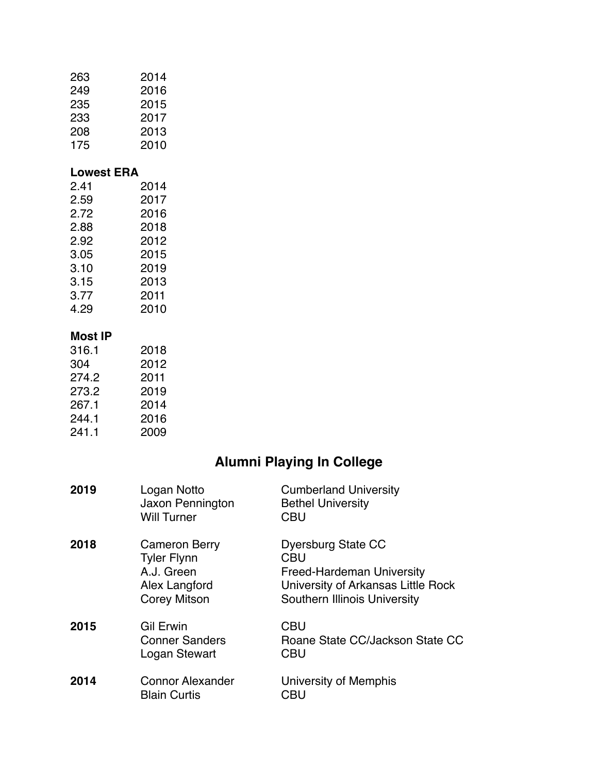| 263               | 2014 |
|-------------------|------|
| 249               | 2016 |
| 235               | 2015 |
| 233               | 2017 |
| 208               | 2013 |
| 175               | 2010 |
| <b>Lowest ERA</b> |      |
| 2.41              | 2014 |
| 2.59              | 2017 |
| 2.72              | 2016 |
| 2.88              | 2018 |
| 2.92              | 2012 |
| 3.05              | 2015 |
| 3.10              | 2019 |
| 3.15              | 2013 |
| 3.77              | 2011 |
| 4.29              | 2010 |
| <b>Most IP</b>    |      |
| 316.1             | 2018 |
| 304               | 2012 |
| 274.2             | 2011 |
| 273.2             | 2019 |
| 267.1             | 2014 |
|                   |      |

244.1 2016<br>241.1 2009  $241.1$ 

## **Alumni Playing In College**

| 2019 | Logan Notto<br>Jaxon Pennington<br><b>Will Turner</b>                                            | <b>Cumberland University</b><br><b>Bethel University</b><br><b>CBU</b>                                                                            |
|------|--------------------------------------------------------------------------------------------------|---------------------------------------------------------------------------------------------------------------------------------------------------|
| 2018 | <b>Cameron Berry</b><br><b>Tyler Flynn</b><br>A.J. Green<br>Alex Langford<br><b>Corey Mitson</b> | Dyersburg State CC<br><b>CBU</b><br><b>Freed-Hardeman University</b><br>University of Arkansas Little Rock<br><b>Southern Illinois University</b> |
| 2015 | <b>Gil Erwin</b><br><b>Conner Sanders</b><br>Logan Stewart                                       | <b>CBU</b><br>Roane State CC/Jackson State CC<br><b>CBU</b>                                                                                       |
| 2014 | <b>Connor Alexander</b><br><b>Blain Curtis</b>                                                   | University of Memphis<br>CBU                                                                                                                      |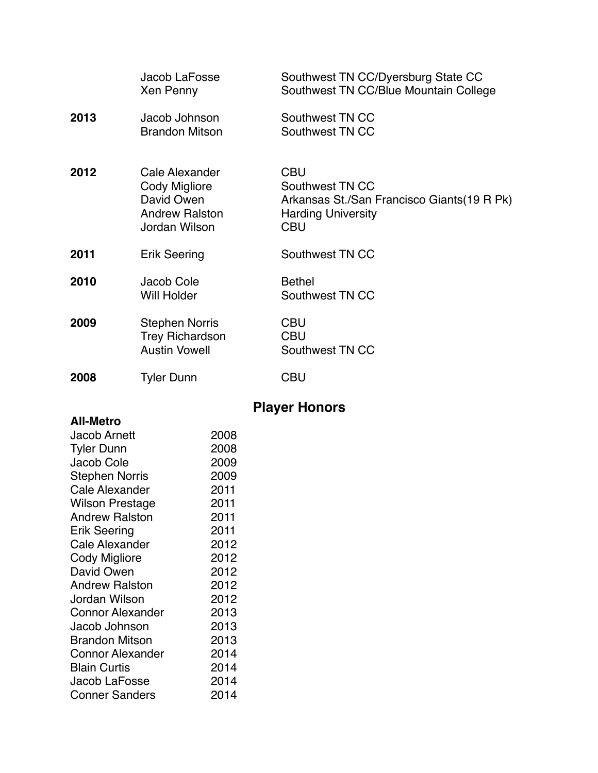|      | Jacob LaFosse<br>Xen Penny                                                                     | Southwest TN CC/Dyersburg State CC<br>Southwest TN CC/Blue Mountain College                                            |
|------|------------------------------------------------------------------------------------------------|------------------------------------------------------------------------------------------------------------------------|
| 2013 | Jacob Johnson<br><b>Brandon Mitson</b>                                                         | Southwest TN CC<br>Southwest TN CC                                                                                     |
| 2012 | Cale Alexander<br><b>Cody Migliore</b><br>David Owen<br><b>Andrew Ralston</b><br>Jordan Wilson | <b>CBU</b><br>Southwest TN CC<br>Arkansas St./San Francisco Giants(19 R Pk)<br><b>Harding University</b><br><b>CBU</b> |
| 2011 | <b>Erik Seering</b>                                                                            | Southwest TN CC                                                                                                        |
| 2010 | Jacob Cole<br><b>Will Holder</b>                                                               | <b>Bethel</b><br>Southwest TN CC                                                                                       |
| 2009 | <b>Stephen Norris</b><br><b>Trey Richardson</b><br><b>Austin Vowell</b>                        | <b>CBU</b><br><b>CBU</b><br>Southwest TN CC                                                                            |
| 2008 | <b>Tyler Dunn</b>                                                                              | <b>CBU</b>                                                                                                             |

# **Player Honors**

| <b>All-Metro</b>        |      |
|-------------------------|------|
| Jacob Arnett            | 2008 |
| <b>Tyler Dunn</b>       | 2008 |
| Jacob Cole              | 2009 |
| <b>Stephen Norris</b>   | 2009 |
| <b>Cale Alexander</b>   | 2011 |
| <b>Wilson Prestage</b>  | 2011 |
| <b>Andrew Ralston</b>   | 2011 |
| Erik Seering            | 2011 |
| Cale Alexander          | 2012 |
| Cody Migliore           | 2012 |
| David Owen              | 2012 |
| <b>Andrew Ralston</b>   | 2012 |
| Jordan Wilson           | 2012 |
| <b>Connor Alexander</b> | 2013 |
| Jacob Johnson           | 2013 |
| Brandon Mitson          | 2013 |
| <b>Connor Alexander</b> | 2014 |
| <b>Blain Curtis</b>     | 2014 |
| Jacob LaFosse           | 2014 |
| <b>Conner Sanders</b>   | 2014 |
|                         |      |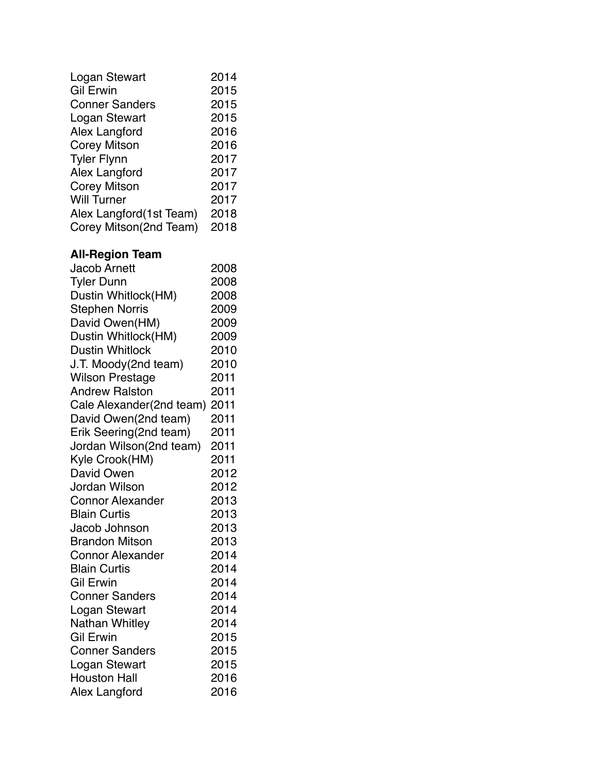| Logan Stewart            | 2014 |
|--------------------------|------|
| <b>Gil Erwin</b>         | 2015 |
| <b>Conner Sanders</b>    | 2015 |
| Logan Stewart            | 2015 |
| Alex Langford            | 2016 |
| <b>Corey Mitson</b>      | 2016 |
| <b>Tyler Flynn</b>       | 2017 |
| Alex Langford            | 2017 |
| <b>Corey Mitson</b>      | 2017 |
| <b>Will Turner</b>       | 2017 |
| Alex Langford (1st Team) | 2018 |
| Corey Mitson(2nd Team)   | 2018 |
|                          |      |
| <b>All-Region Team</b>   |      |
| <b>Jacob Arnett</b>      | 2008 |
| <b>Tyler Dunn</b>        | 2008 |
| Dustin Whitlock(HM)      | 2008 |
| <b>Stephen Norris</b>    | 2009 |
| David Owen(HM)           | 2009 |
| Dustin Whitlock(HM)      | 2009 |
| <b>Dustin Whitlock</b>   | 2010 |
| J.T. Moody(2nd team)     | 2010 |
|                          | 2011 |
| <b>Wilson Prestage</b>   |      |
| <b>Andrew Ralston</b>    | 2011 |
| Cale Alexander(2nd team) | 2011 |
| David Owen(2nd team)     | 2011 |
| Erik Seering(2nd team)   | 2011 |
| Jordan Wilson(2nd team)  | 2011 |
| Kyle Crook(HM)           | 2011 |
| David Owen               | 2012 |
| Jordan Wilson            | 2012 |
| <b>Connor Alexander</b>  | 2013 |
| <b>Blain Curtis</b>      | 2013 |
| Jacob Johnson            | 2013 |
| <b>Brandon Mitson</b>    | 2013 |
| <b>Connor Alexander</b>  | 2014 |
| <b>Blain Curtis</b>      | 2014 |
| <b>Gil Erwin</b>         | 2014 |
| <b>Conner Sanders</b>    | 2014 |
| Logan Stewart            | 2014 |
| Nathan Whitley           | 2014 |
| Gil Erwin                | 2015 |
| <b>Conner Sanders</b>    | 2015 |
| Logan Stewart            | 2015 |
| <b>Houston Hall</b>      | 2016 |
|                          | 2016 |
| Alex Langford            |      |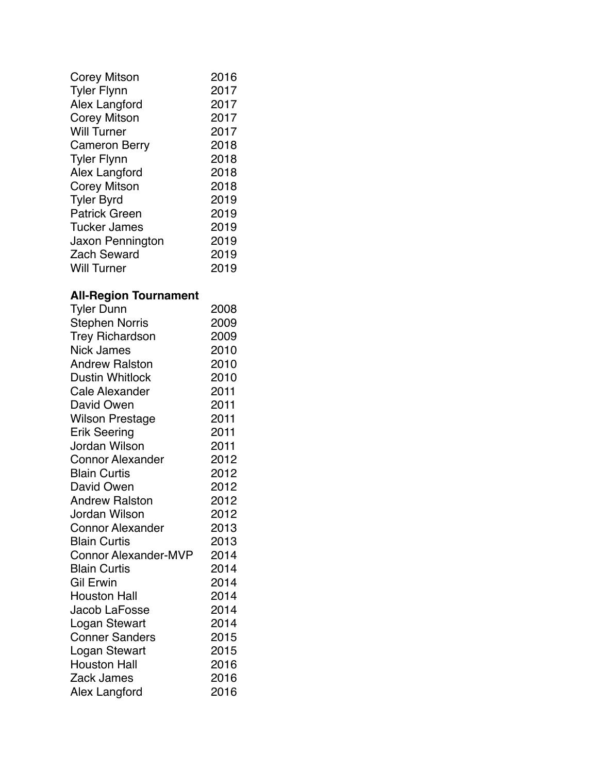| Corey Mitson         | 2016 |
|----------------------|------|
| <b>Tyler Flynn</b>   | 2017 |
| Alex Langford        | 2017 |
| Corey Mitson         | 2017 |
| <b>Will Turner</b>   | 2017 |
| <b>Cameron Berry</b> | 2018 |
| <b>Tyler Flynn</b>   | 2018 |
| Alex Langford        | 2018 |
| <b>Corey Mitson</b>  | 2018 |
| <b>Tyler Byrd</b>    | 2019 |
| <b>Patrick Green</b> | 2019 |
| <b>Tucker James</b>  | 2019 |
| Jaxon Pennington     | 2019 |
| <b>Zach Seward</b>   | 2019 |
| <b>Will Turner</b>   | 2019 |

### **All-Region Tournament**

| Tyler Dunn                  | 2008 |
|-----------------------------|------|
| <b>Stephen Norris</b>       | 2009 |
| <b>Trey Richardson</b>      | 2009 |
| <b>Nick James</b>           | 2010 |
| <b>Andrew Ralston</b>       | 2010 |
| <b>Dustin Whitlock</b>      | 2010 |
| <b>Cale Alexander</b>       | 2011 |
| David Owen                  | 2011 |
| <b>Wilson Prestage</b>      | 2011 |
| Erik Seering                | 2011 |
| Jordan Wilson               | 2011 |
| <b>Connor Alexander</b>     | 2012 |
| <b>Blain Curtis</b>         | 2012 |
| David Owen                  | 2012 |
| <b>Andrew Ralston</b>       | 2012 |
| <b>Jordan Wilson</b>        | 2012 |
| <b>Connor Alexander</b>     | 2013 |
| <b>Blain Curtis</b>         | 2013 |
| <b>Connor Alexander-MVP</b> | 2014 |
| <b>Blain Curtis</b>         | 2014 |
| <b>Gil Erwin</b>            | 2014 |
| <b>Houston Hall</b>         | 2014 |
| Jacob LaFosse               | 2014 |
| Logan Stewart               | 2014 |
| <b>Conner Sanders</b>       | 2015 |
| Logan Stewart               | 2015 |
| <b>Houston Hall</b>         | 2016 |
| Zack James                  | 2016 |
| <b>Alex Langford</b>        | 2016 |
|                             |      |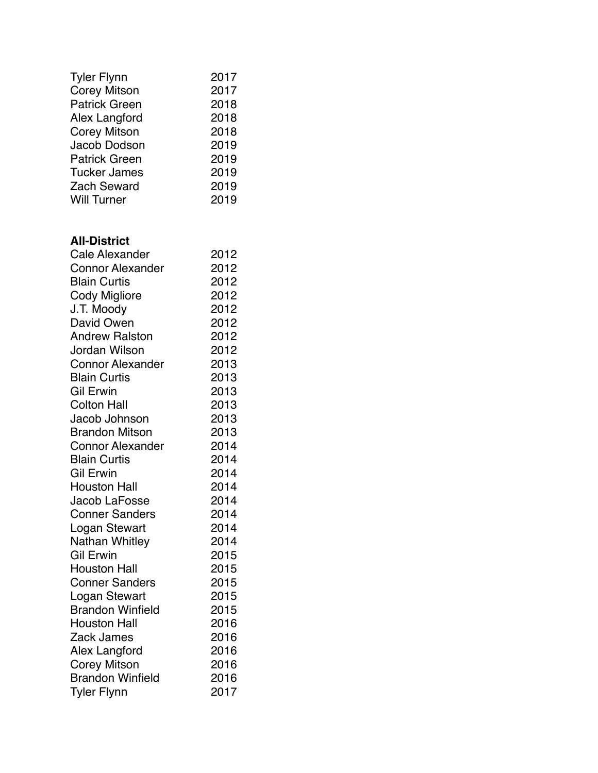| <b>Tyler Flynn</b>   | 2017 |
|----------------------|------|
| <b>Corey Mitson</b>  | 2017 |
| <b>Patrick Green</b> | 2018 |
| Alex Langford        | 2018 |
| <b>Corey Mitson</b>  | 2018 |
| Jacob Dodson         | 2019 |
| <b>Patrick Green</b> | 2019 |
| <b>Tucker James</b>  | 2019 |
| <b>Zach Seward</b>   | 2019 |
| <b>Will Turner</b>   | 2019 |
|                      |      |

#### **All-District**

| <b>Cale Alexander</b>   | 2012 |
|-------------------------|------|
| <b>Connor Alexander</b> | 2012 |
| <b>Blain Curtis</b>     | 2012 |
| <b>Cody Migliore</b>    | 2012 |
| J.T. Moody              | 2012 |
| David Owen              | 2012 |
| <b>Andrew Ralston</b>   | 2012 |
| Jordan Wilson           | 2012 |
| <b>Connor Alexander</b> | 2013 |
| <b>Blain Curtis</b>     | 2013 |
| <b>Gil Erwin</b>        | 2013 |
| <b>Colton Hall</b>      | 2013 |
| Jacob Johnson           | 2013 |
| <b>Brandon Mitson</b>   | 2013 |
| <b>Connor Alexander</b> | 2014 |
| <b>Blain Curtis</b>     | 2014 |
| <b>Gil Erwin</b>        | 2014 |
| <b>Houston Hall</b>     | 2014 |
| Jacob LaFosse           | 2014 |
| <b>Conner Sanders</b>   | 2014 |
| Logan Stewart           | 2014 |
| Nathan Whitley          | 2014 |
| Gil Erwin               | 2015 |
| <b>Houston Hall</b>     | 2015 |
| <b>Conner Sanders</b>   | 2015 |
| Logan Stewart           | 2015 |
| <b>Brandon Winfield</b> | 2015 |
| <b>Houston Hall</b>     | 2016 |
| Zack James              | 2016 |
| Alex Langford           | 2016 |
| <b>Corey Mitson</b>     | 2016 |
| <b>Brandon Winfield</b> | 2016 |
| <b>Tyler Flynn</b>      | 2017 |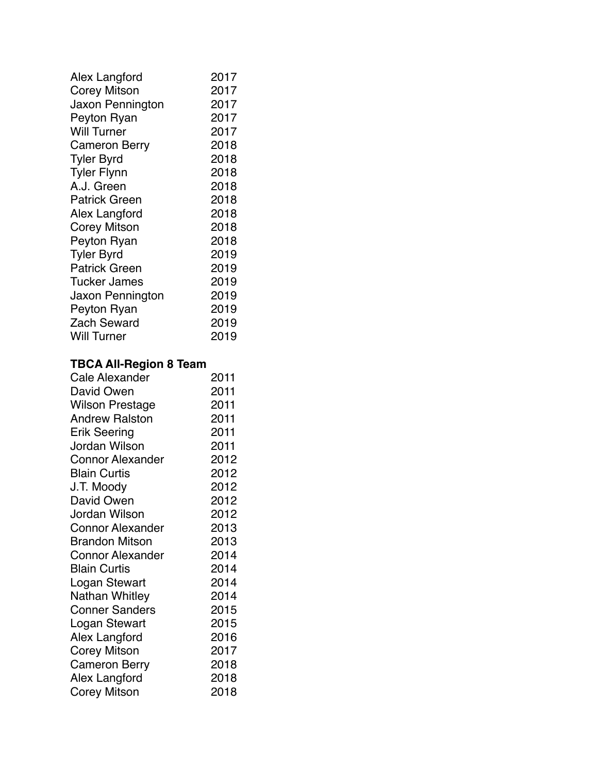| Alex Langford       | 2017 |
|---------------------|------|
| Corey Mitson        | 2017 |
| Jaxon Pennington    | 2017 |
| Peyton Ryan         | 2017 |
| <b>Will Turner</b>  | 2017 |
| Cameron Berry       | 2018 |
| <b>Tyler Byrd</b>   | 2018 |
| <b>Tyler Flynn</b>  | 2018 |
| A.J. Green          | 2018 |
| Patrick Green       | 2018 |
| Alex Langford       | 2018 |
| <b>Corey Mitson</b> | 2018 |
| Peyton Ryan         | 2018 |
| <b>Tyler Byrd</b>   | 2019 |
| Patrick Green       | 2019 |
| <b>Tucker James</b> | 2019 |
| Jaxon Pennington    | 2019 |
| Peyton Ryan         | 2019 |
| <b>Zach Seward</b>  | 2019 |
| Will Turner         | 2019 |
|                     |      |

### **TBCA All-Region 8 Team**

| <b>Cale Alexander</b>   | 2011 |
|-------------------------|------|
| David Owen              | 2011 |
| Wilson Prestage         | 2011 |
| <b>Andrew Ralston</b>   | 2011 |
| Erik Seering            | 2011 |
| Jordan Wilson           | 2011 |
| <b>Connor Alexander</b> | 2012 |
| <b>Blain Curtis</b>     | 2012 |
| J.T. Moody              | 2012 |
| David Owen              | 2012 |
| Jordan Wilson           | 2012 |
| <b>Connor Alexander</b> | 2013 |
| <b>Brandon Mitson</b>   | 2013 |
| <b>Connor Alexander</b> | 2014 |
| <b>Blain Curtis</b>     | 2014 |
| Logan Stewart           | 2014 |
| Nathan Whitley          | 2014 |
| <b>Conner Sanders</b>   | 2015 |
| Logan Stewart           | 2015 |
| <b>Alex Langford</b>    | 2016 |
| Corey Mitson            | 2017 |
| <b>Cameron Berry</b>    | 2018 |
| Alex Langford           | 2018 |
| <b>Corey Mitson</b>     | 2018 |
|                         |      |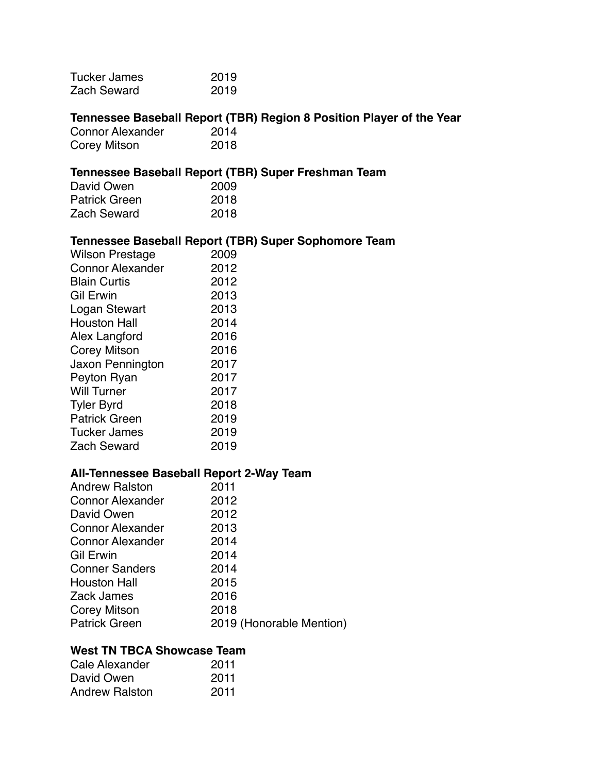| <b>Tucker James</b>                      | 2019                                                                 |
|------------------------------------------|----------------------------------------------------------------------|
| <b>Zach Seward</b>                       | 2019                                                                 |
|                                          |                                                                      |
|                                          | Tennessee Baseball Report (TBR) Region 8 Position Player of the Year |
| <b>Connor Alexander</b>                  | 2014                                                                 |
| Corey Mitson                             | 2018                                                                 |
|                                          |                                                                      |
|                                          | Tennessee Baseball Report (TBR) Super Freshman Team                  |
| David Owen                               | 2009                                                                 |
| <b>Patrick Green</b>                     | 2018                                                                 |
| <b>Zach Seward</b>                       | 2018                                                                 |
|                                          | Tennessee Baseball Report (TBR) Super Sophomore Team                 |
| <b>Wilson Prestage</b>                   | 2009                                                                 |
| <b>Connor Alexander</b>                  | 2012                                                                 |
| <b>Blain Curtis</b>                      | 2012                                                                 |
| <b>Gil Erwin</b>                         | 2013                                                                 |
| Logan Stewart                            | 2013                                                                 |
| <b>Houston Hall</b>                      | 2014                                                                 |
| Alex Langford                            | 2016                                                                 |
|                                          | 2016                                                                 |
| <b>Corey Mitson</b>                      | 2017                                                                 |
| Jaxon Pennington                         |                                                                      |
| Peyton Ryan                              | 2017                                                                 |
| <b>Will Turner</b>                       | 2017                                                                 |
| <b>Tyler Byrd</b>                        | 2018                                                                 |
| <b>Patrick Green</b>                     | 2019                                                                 |
| <b>Tucker James</b>                      | 2019                                                                 |
| <b>Zach Seward</b>                       | 2019                                                                 |
| All-Tennessee Baseball Report 2-Way Team |                                                                      |
| <b>Andrew Ralston</b>                    | 2011                                                                 |
| <b>Connor Alexander</b>                  | 2012                                                                 |
| David Owen                               | 2012                                                                 |
| <b>Connor Alexander</b>                  | 2013                                                                 |
| <b>Connor Alexander</b>                  | 2014                                                                 |
| <b>Gil Erwin</b>                         | 2014                                                                 |
|                                          |                                                                      |
| <b>Conner Sanders</b>                    | 2014                                                                 |
| <b>Houston Hall</b>                      | 2015                                                                 |
| Zack James                               | 2016                                                                 |
| <b>Corey Mitson</b>                      | 2018                                                                 |
| <b>Patrick Green</b>                     | 2019 (Honorable Mention)                                             |
| <b>West TN TBCA Showcase Team</b>        |                                                                      |
| Cale Alexander                           | 2011                                                                 |
| David Owen                               | 2011                                                                 |
| <b>Andrew Ralston</b>                    | 2011                                                                 |
|                                          |                                                                      |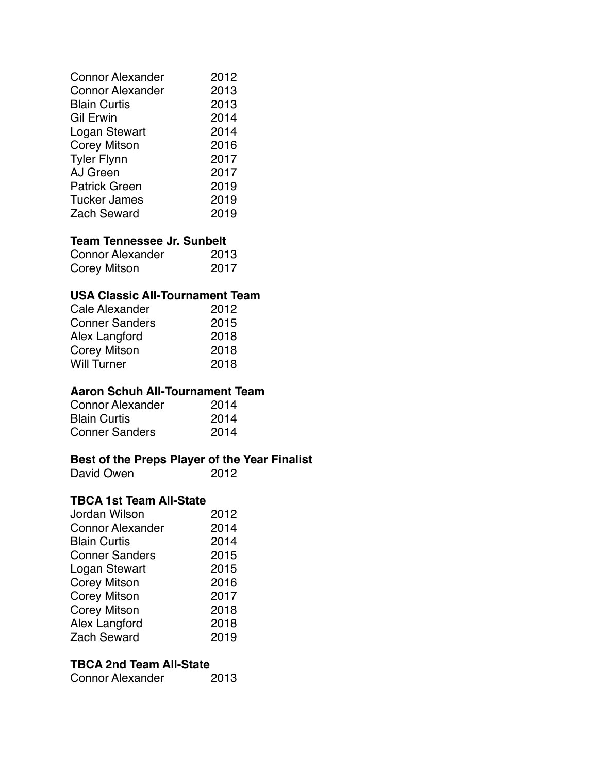| <b>Connor Alexander</b> | 2012 |
|-------------------------|------|
| <b>Connor Alexander</b> | 2013 |
| <b>Blain Curtis</b>     | 2013 |
| Gil Erwin               | 2014 |
| Logan Stewart           | 2014 |
| <b>Corey Mitson</b>     | 2016 |
| <b>Tyler Flynn</b>      | 2017 |
| AJ Green                | 2017 |
| <b>Patrick Green</b>    | 2019 |
| <b>Tucker James</b>     | 2019 |
| <b>Zach Seward</b>      | 2019 |

#### **Team Tennessee Jr. Sunbelt**

| <b>Connor Alexander</b> | 2013 |
|-------------------------|------|
| Corey Mitson            | 2017 |

#### **USA Classic All-Tournament Team**

| Cale Alexander        | 2012 |
|-----------------------|------|
| <b>Conner Sanders</b> | 2015 |
| Alex Langford         | 2018 |
| <b>Corey Mitson</b>   | 2018 |
| <b>Will Turner</b>    | 2018 |

#### **Aaron Schuh All-Tournament Team**

| <b>Connor Alexander</b> | 2014 |
|-------------------------|------|
| <b>Blain Curtis</b>     | 2014 |
| <b>Conner Sanders</b>   | 2014 |

### **Best of the Preps Player of the Year Finalist**

| David Owen | 2012 |
|------------|------|
|            |      |

#### **TBCA 1st Team All-State**

| Jordan Wilson           | 2012 |
|-------------------------|------|
| <b>Connor Alexander</b> | 2014 |
| <b>Blain Curtis</b>     | 2014 |
| <b>Conner Sanders</b>   | 2015 |
| Logan Stewart           | 2015 |
| <b>Corey Mitson</b>     | 2016 |
| <b>Corey Mitson</b>     | 2017 |
| <b>Corey Mitson</b>     | 2018 |
| Alex Langford           | 2018 |
| <b>Zach Seward</b>      | 2019 |

#### **TBCA 2nd Team All-State**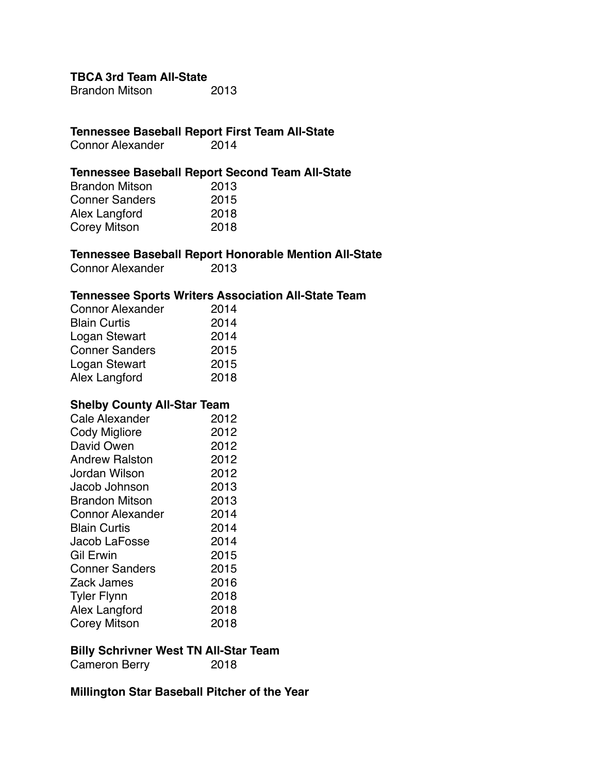**TBCA 3rd Team All-State**

Brandon Mitson 2013

# **Tennessee Baseball Report First Team All-State**

Connor Alexander

#### **Tennessee Baseball Report Second Team All-State**

| <b>Brandon Mitson</b> | 2013 |
|-----------------------|------|
| <b>Conner Sanders</b> | 2015 |
| Alex Langford         | 2018 |
| Corey Mitson          | 2018 |

#### **Tennessee Baseball Report Honorable Mention All-State**

Connor Alexander 2013

#### **Tennessee Sports Writers Association All-State Team**

| <b>Connor Alexander</b> | 2014 |
|-------------------------|------|
| <b>Blain Curtis</b>     | 2014 |
| Logan Stewart           | 2014 |
| <b>Conner Sanders</b>   | 2015 |
| Logan Stewart           | 2015 |
| Alex Langford           | 2018 |

#### **Shelby County All-Star Team**

| Cale Alexander          | 2012 |
|-------------------------|------|
| Cody Migliore           | 2012 |
| David Owen              | 2012 |
| <b>Andrew Ralston</b>   | 2012 |
| Jordan Wilson           | 2012 |
| Jacob Johnson           | 2013 |
| <b>Brandon Mitson</b>   | 2013 |
| <b>Connor Alexander</b> | 2014 |
| <b>Blain Curtis</b>     | 2014 |
| Jacob LaFosse           | 2014 |
| Gil Erwin               | 2015 |
| <b>Conner Sanders</b>   | 2015 |
| Zack James              | 2016 |
| <b>Tyler Flynn</b>      | 2018 |
| Alex Langford           | 2018 |
| <b>Corey Mitson</b>     | 2018 |

#### **Billy Schrivner West TN All-Star Team**

| <b>Cameron Berry</b> | 2018 |
|----------------------|------|
|----------------------|------|

#### **Millington Star Baseball Pitcher of the Year**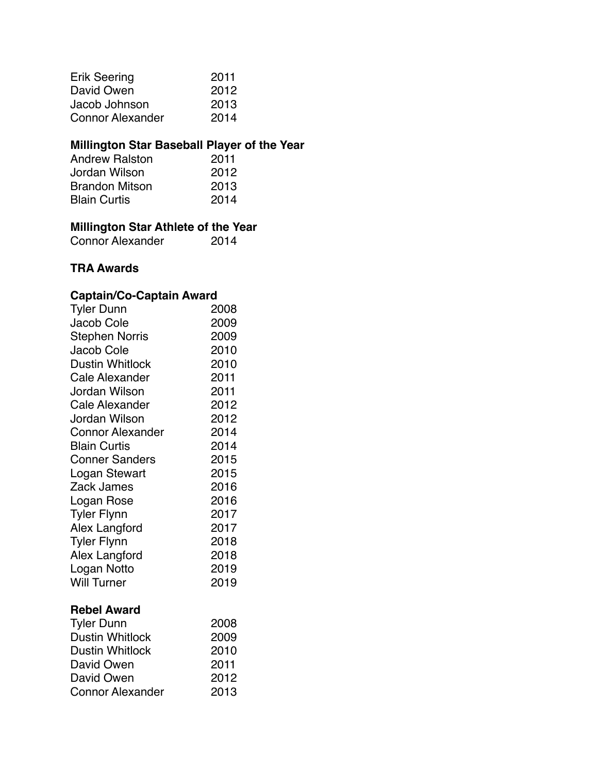| <b>Erik Seering</b>     | 2011 |
|-------------------------|------|
| David Owen              | 2012 |
| Jacob Johnson           | 2013 |
| <b>Connor Alexander</b> | 2014 |

#### **Millington Star Baseball Player of the Year**

| 2011 |
|------|
| 2012 |
| 2013 |
| 2014 |
|      |

#### **Millington Star Athlete of the Year**

Connor Alexander **2014** 

#### **TRA Awards**

#### **Captain/Co-Captain Award**

| <b>Tyler Dunn</b>       | 2008 |
|-------------------------|------|
| Jacob Cole              | 2009 |
| <b>Stephen Norris</b>   | 2009 |
| Jacob Cole              | 2010 |
| <b>Dustin Whitlock</b>  | 2010 |
| <b>Cale Alexander</b>   | 2011 |
| Jordan Wilson           | 2011 |
| Cale Alexander          | 2012 |
| Jordan Wilson           | 2012 |
| <b>Connor Alexander</b> | 2014 |
| <b>Blain Curtis</b>     | 2014 |
| <b>Conner Sanders</b>   | 2015 |
| Logan Stewart           | 2015 |
| Zack James              | 2016 |
| Logan Rose              | 2016 |
| <b>Tyler Flynn</b>      | 2017 |
| Alex Langford           | 2017 |
| <b>Tyler Flynn</b>      | 2018 |
| Alex Langford           | 2018 |
| Logan Notto             | 2019 |
| <b>Will Turner</b>      | 2019 |
| <b>Rebel Award</b>      |      |
| <b>Tyler Dunn</b>       | 2008 |
| <b>Dustin Whitlock</b>  | 2009 |
| <b>Dustin Whitlock</b>  | 2010 |
| David Owen              | 2011 |
| David Owen              | 2012 |

Connor Alexander 2013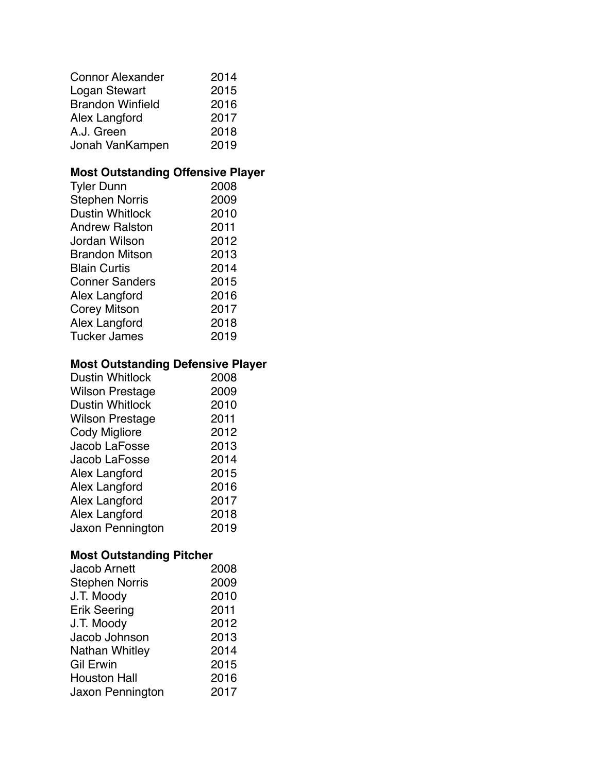| <b>Connor Alexander</b> | 2014 |
|-------------------------|------|
| Logan Stewart           | 2015 |
| <b>Brandon Winfield</b> | 2016 |
| Alex Langford           | 2017 |
| A.J. Green              | 2018 |
| Jonah VanKampen         | 2019 |

### **Most Outstanding Offensive Player**

| <b>Tyler Dunn</b>      | 2008 |
|------------------------|------|
| <b>Stephen Norris</b>  | 2009 |
| <b>Dustin Whitlock</b> | 2010 |
| <b>Andrew Ralston</b>  | 2011 |
| Jordan Wilson          | 2012 |
| <b>Brandon Mitson</b>  | 2013 |
| <b>Blain Curtis</b>    | 2014 |
| <b>Conner Sanders</b>  | 2015 |
| Alex Langford          | 2016 |
| <b>Corey Mitson</b>    | 2017 |
| Alex Langford          | 2018 |
| <b>Tucker James</b>    | 2019 |

### **Most Outstanding Defensive Player**

| <b>Dustin Whitlock</b> | 2008 |
|------------------------|------|
| <b>Wilson Prestage</b> | 2009 |
| <b>Dustin Whitlock</b> | 2010 |
| <b>Wilson Prestage</b> | 2011 |
| Cody Migliore          | 2012 |
| Jacob LaFosse          | 2013 |
| Jacob LaFosse          | 2014 |
| Alex Langford          | 2015 |
| Alex Langford          | 2016 |
| Alex Langford          | 2017 |
| Alex Langford          | 2018 |
| Jaxon Pennington       | 2019 |

### **Most Outstanding Pitcher**

| <b>Jacob Arnett</b>   | 2008 |
|-----------------------|------|
| <b>Stephen Norris</b> | 2009 |
| J.T. Moody            | 2010 |
| <b>Erik Seering</b>   | 2011 |
| J.T. Moody            | 2012 |
| Jacob Johnson         | 2013 |
| Nathan Whitley        | 2014 |
| <b>Gil Erwin</b>      | 2015 |
| <b>Houston Hall</b>   | 2016 |
| Jaxon Pennington      | 2017 |
|                       |      |